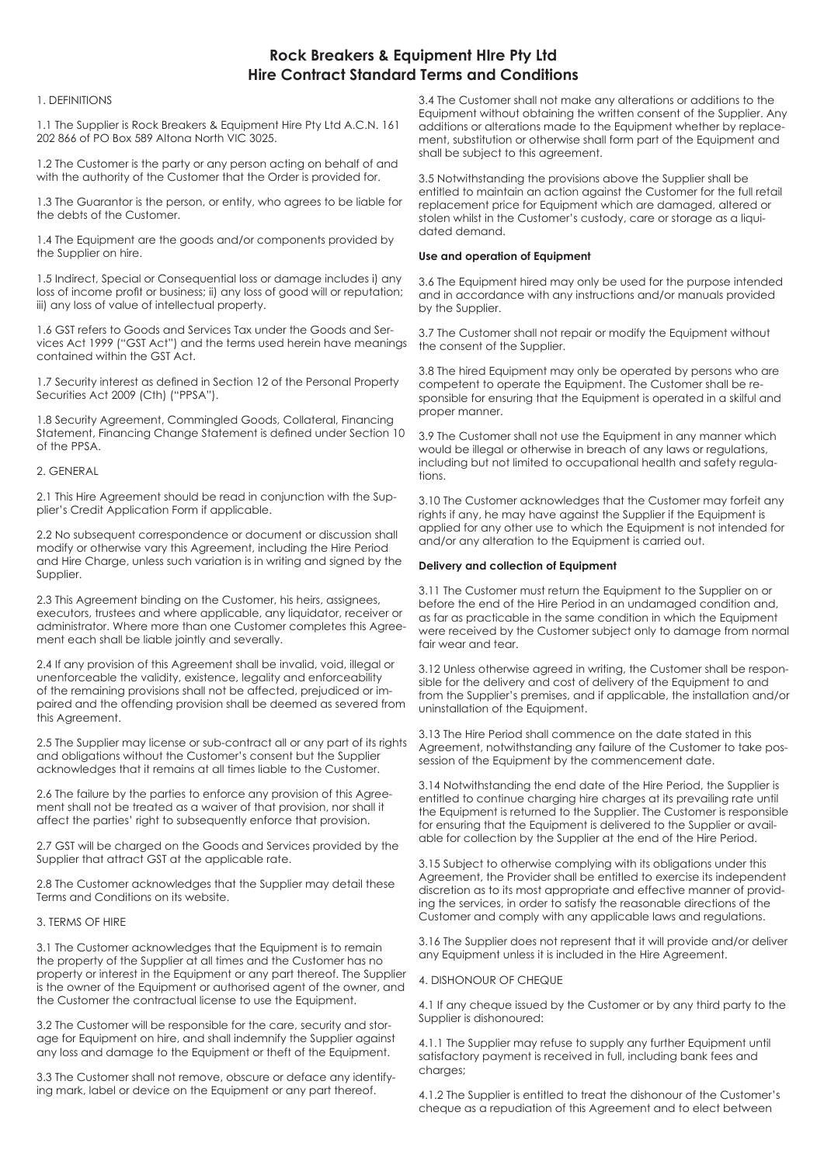# **Rock Breakers & Equipment HIre Pty Ltd Hire Contract Standard Terms and Conditions**

# 1. DEFINITIONS

1.1 The Supplier is Rock Breakers & Equipment Hire Pty Ltd A.C.N. 161 202 866 of PO Box 589 Altona North VIC 3025.

1.2 The Customer is the party or any person acting on behalf of and with the authority of the Customer that the Order is provided for.

1.3 The Guarantor is the person, or entity, who agrees to be liable for the debts of the Customer.

1.4 The Equipment are the goods and/or components provided by the Supplier on hire.

1.5 Indirect, Special or Consequential loss or damage includes i) any loss of income profit or business; ii) any loss of good will or reputation; iii) any loss of value of intellectual property.

1.6 GST refers to Goods and Services Tax under the Goods and Services Act 1999 ("GST Act") and the terms used herein have meanings contained within the GST Act.

1.7 Security interest as defined in Section 12 of the Personal Property Securities Act 2009 (Cth) ("PPSA").

1.8 Security Agreement, Commingled Goods, Collateral, Financing Statement, Financing Change Statement is defined under Section 10 of the PPSA.

#### 2. GENERAL

2.1 This Hire Agreement should be read in conjunction with the Supplier's Credit Application Form if applicable.

2.2 No subsequent correspondence or document or discussion shall modify or otherwise vary this Agreement, including the Hire Period and Hire Charge, unless such variation is in writing and signed by the Supplier.

2.3 This Agreement binding on the Customer, his heirs, assignees, executors, trustees and where applicable, any liquidator, receiver or administrator. Where more than one Customer completes this Agreement each shall be liable jointly and severally.

2.4 If any provision of this Agreement shall be invalid, void, illegal or unenforceable the validity, existence, legality and enforceability of the remaining provisions shall not be affected, prejudiced or impaired and the offending provision shall be deemed as severed from this Agreement.

2.5 The Supplier may license or sub-contract all or any part of its rights and obligations without the Customer's consent but the Supplier acknowledges that it remains at all times liable to the Customer.

2.6 The failure by the parties to enforce any provision of this Agreement shall not be treated as a waiver of that provision, nor shall it affect the parties' right to subsequently enforce that provision.

2.7 GST will be charged on the Goods and Services provided by the Supplier that attract GST at the applicable rate.

2.8 The Customer acknowledges that the Supplier may detail these Terms and Conditions on its website.

#### 3. TERMS OF HIRE

3.1 The Customer acknowledges that the Equipment is to remain the property of the Supplier at all times and the Customer has no property or interest in the Equipment or any part thereof. The Supplier is the owner of the Equipment or authorised agent of the owner, and the Customer the contractual license to use the Equipment.

3.2 The Customer will be responsible for the care, security and storage for Equipment on hire, and shall indemnify the Supplier against any loss and damage to the Equipment or theft of the Equipment.

3.3 The Customer shall not remove, obscure or deface any identifying mark, label or device on the Equipment or any part thereof.

3.4 The Customer shall not make any alterations or additions to the Equipment without obtaining the written consent of the Supplier. Any additions or alterations made to the Equipment whether by replacement, substitution or otherwise shall form part of the Equipment and shall be subject to this agreement.

3.5 Notwithstanding the provisions above the Supplier shall be entitled to maintain an action against the Customer for the full retail replacement price for Equipment which are damaged, altered or stolen whilst in the Customer's custody, care or storage as a liquidated demand.

### **Use and operation of Equipment**

3.6 The Equipment hired may only be used for the purpose intended and in accordance with any instructions and/or manuals provided by the Supplier.

3.7 The Customer shall not repair or modify the Equipment without the consent of the Supplier.

3.8 The hired Equipment may only be operated by persons who are competent to operate the Equipment. The Customer shall be responsible for ensuring that the Equipment is operated in a skilful and proper manner.

3.9 The Customer shall not use the Equipment in any manner which would be illegal or otherwise in breach of any laws or regulations, including but not limited to occupational health and safety regulations.

3.10 The Customer acknowledges that the Customer may forfeit any rights if any, he may have against the Supplier if the Equipment is applied for any other use to which the Equipment is not intended for and/or any alteration to the Equipment is carried out.

#### **Delivery and collection of Equipment**

3.11 The Customer must return the Equipment to the Supplier on or before the end of the Hire Period in an undamaged condition and, as far as practicable in the same condition in which the Equipment were received by the Customer subject only to damage from normal fair wear and tear.

3.12 Unless otherwise agreed in writing, the Customer shall be responsible for the delivery and cost of delivery of the Equipment to and from the Supplier's premises, and if applicable, the installation and/or uninstallation of the Equipment.

3.13 The Hire Period shall commence on the date stated in this Agreement, notwithstanding any failure of the Customer to take possession of the Equipment by the commencement date.

3.14 Notwithstanding the end date of the Hire Period, the Supplier is entitled to continue charging hire charges at its prevailing rate until the Equipment is returned to the Supplier. The Customer is responsible for ensuring that the Equipment is delivered to the Supplier or available for collection by the Supplier at the end of the Hire Period.

3.15 Subject to otherwise complying with its obligations under this Agreement, the Provider shall be entitled to exercise its independent discretion as to its most appropriate and effective manner of providing the services, in order to satisfy the reasonable directions of the Customer and comply with any applicable laws and regulations.

3.16 The Supplier does not represent that it will provide and/or deliver any Equipment unless it is included in the Hire Agreement.

### 4. DISHONOUR OF CHEQUE

4.1 If any cheque issued by the Customer or by any third party to the Supplier is dishonoured:

4.1.1 The Supplier may refuse to supply any further Equipment until satisfactory payment is received in full, including bank fees and charges;

4.1.2 The Supplier is entitled to treat the dishonour of the Customer's cheque as a repudiation of this Agreement and to elect between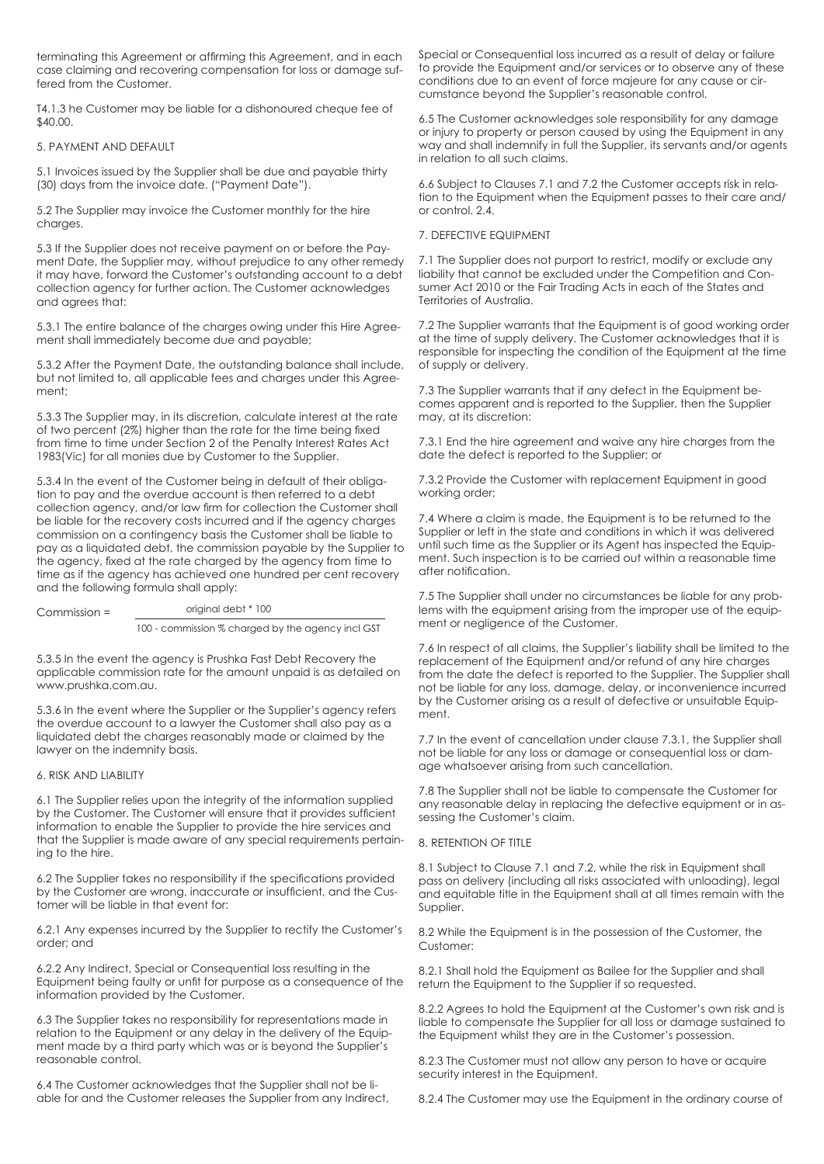terminating this Agreement or affirming this Agreement, and in each case claiming and recovering compensation for loss or damage suffered from the Customer.

T4.1.3 he Customer may be liable for a dishonoured cheque fee of \$40.00.

### 5. PAYMENT AND DEFAULT

5.1 Invoices issued by the Supplier shall be due and payable thirty (30) days from the invoice date. ("Payment Date").

5.2 The Supplier may invoice the Customer monthly for the hire charges.

5.3 If the Supplier does not receive payment on or before the Payment Date, the Supplier may, without prejudice to any other remedy it may have, forward the Customer's outstanding account to a debt collection agency for further action. The Customer acknowledges and agrees that:

5.3.1 The entire balance of the charges owing under this Hire Agreement shall immediately become due and payable;

5.3.2 After the Payment Date, the outstanding balance shall include, but not limited to, all applicable fees and charges under this Agreement;

5.3.3 The Supplier may, in its discretion, calculate interest at the rate of two percent (2%) higher than the rate for the time being fixed from time to time under Section 2 of the Penalty Interest Rates Act 1983(Vic) for all monies due by Customer to the Supplier.

5.3.4 In the event of the Customer being in default of their obligation to pay and the overdue account is then referred to a debt collection agency, and/or law firm for collection the Customer shall be liable for the recovery costs incurred and if the agency charges commission on a contingency basis the Customer shall be liable to pay as a liquidated debt, the commission payable by the Supplier to the agency, fixed at the rate charged by the agency from time to time as if the agency has achieved one hundred per cent recovery and the following formula shall apply:

Commission = original debt \* 100

100 - commission % charged by the agency incl GST

5.3.5 In the event the agency is Prushka Fast Debt Recovery the applicable commission rate for the amount unpaid is as detailed on www.prushka.com.au.

5.3.6 In the event where the Supplier or the Supplier's agency refers the overdue account to a lawyer the Customer shall also pay as a liquidated debt the charges reasonably made or claimed by the lawyer on the indemnity basis.

#### 6. RISK AND LIABILITY

6.1 The Supplier relies upon the integrity of the information supplied by the Customer. The Customer will ensure that it provides sufficient information to enable the Supplier to provide the hire services and that the Supplier is made aware of any special requirements pertaining to the hire.

6.2 The Supplier takes no responsibility if the specifications provided by the Customer are wrong, inaccurate or insufficient, and the Customer will be liable in that event for:

6.2.1 Any expenses incurred by the Supplier to rectify the Customer's order; and

6.2.2 Any Indirect, Special or Consequential loss resulting in the Equipment being faulty or unfit for purpose as a consequence of the information provided by the Customer.

6.3 The Supplier takes no responsibility for representations made in relation to the Equipment or any delay in the delivery of the Equipment made by a third party which was or is beyond the Supplier's reasonable control.

6.4 The Customer acknowledges that the Supplier shall not be liable for and the Customer releases the Supplier from any Indirect, Special or Consequential loss incurred as a result of delay or failure to provide the Equipment and/or services or to observe any of these conditions due to an event of force majeure for any cause or circumstance beyond the Supplier's reasonable control.

6.5 The Customer acknowledges sole responsibility for any damage or injury to property or person caused by using the Equipment in any way and shall indemnify in full the Supplier, its servants and/or agents in relation to all such claims.

6.6 Subject to Clauses 7.1 and 7.2 the Customer accepts risk in relation to the Equipment when the Equipment passes to their care and/ or control. 2.4.

7. DEFECTIVE EQUIPMENT

7.1 The Supplier does not purport to restrict, modify or exclude any liability that cannot be excluded under the Competition and Consumer Act 2010 or the Fair Trading Acts in each of the States and Territories of Australia.

7.2 The Supplier warrants that the Equipment is of good working order at the time of supply delivery. The Customer acknowledges that it is responsible for inspecting the condition of the Equipment at the time of supply or delivery.

7.3 The Supplier warrants that if any defect in the Equipment becomes apparent and is reported to the Supplier, then the Supplier may, at its discretion:

7.3.1 End the hire agreement and waive any hire charges from the date the defect is reported to the Supplier; or

7.3.2 Provide the Customer with replacement Equipment in good working order;

7.4 Where a claim is made, the Equipment is to be returned to the Supplier or left in the state and conditions in which it was delivered until such time as the Supplier or its Agent has inspected the Equipment. Such inspection is to be carried out within a reasonable time after notification.

7.5 The Supplier shall under no circumstances be liable for any problems with the equipment arising from the improper use of the equipment or negligence of the Customer.

7.6 In respect of all claims, the Supplier's liability shall be limited to the replacement of the Equipment and/or refund of any hire charges from the date the defect is reported to the Supplier. The Supplier shall not be liable for any loss, damage, delay, or inconvenience incurred by the Customer arising as a result of defective or unsuitable Equipment.

7.7 In the event of cancellation under clause 7.3.1, the Supplier shall not be liable for any loss or damage or consequential loss or damage whatsoever arising from such cancellation.

7.8 The Supplier shall not be liable to compensate the Customer for any reasonable delay in replacing the defective equipment or in assessing the Customer's claim.

# 8. RETENTION OF TITLE

8.1 Subject to Clause 7.1 and 7.2, while the risk in Equipment shall pass on delivery (including all risks associated with unloading), legal and equitable title in the Equipment shall at all times remain with the Supplier.

8.2 While the Equipment is in the possession of the Customer, the Customer:

8.2.1 Shall hold the Equipment as Bailee for the Supplier and shall return the Equipment to the Supplier if so requested.

8.2.2 Agrees to hold the Equipment at the Customer's own risk and is liable to compensate the Supplier for all loss or damage sustained to the Equipment whilst they are in the Customer's possession.

8.2.3 The Customer must not allow any person to have or acquire security interest in the Equipment.

8.2.4 The Customer may use the Equipment in the ordinary course of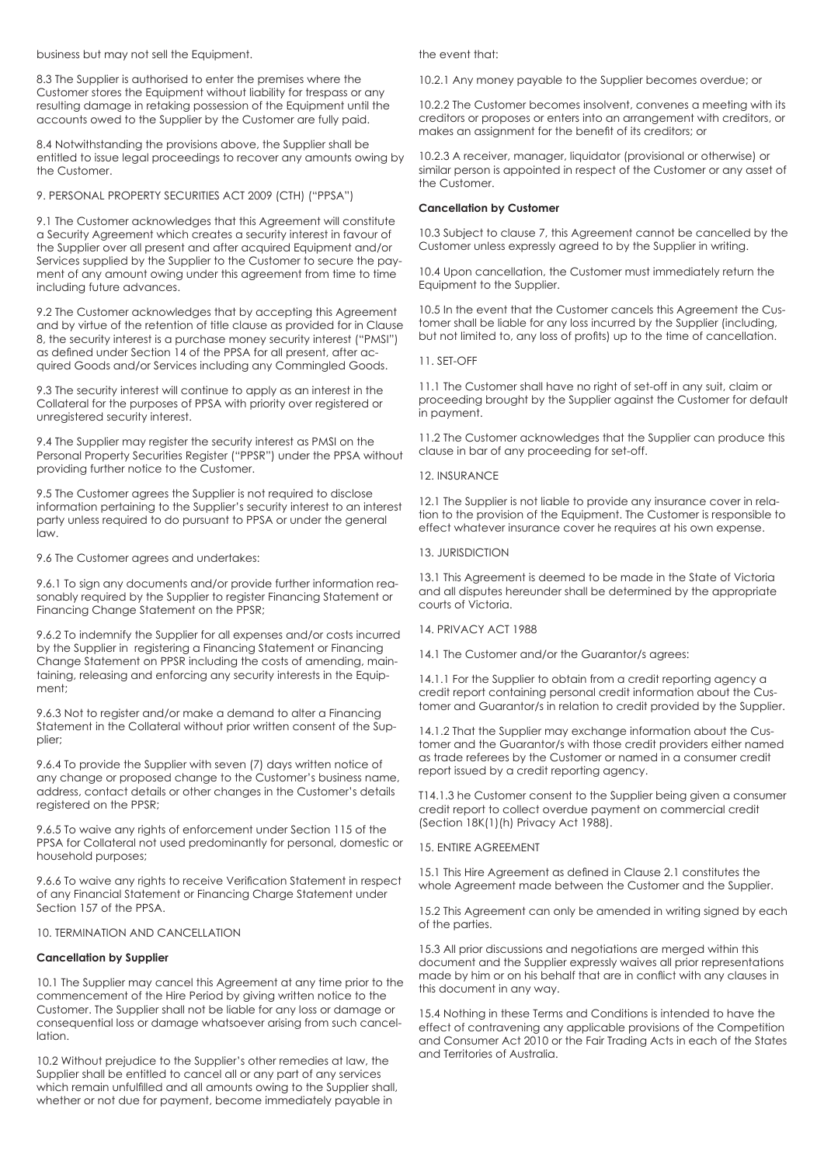business but may not sell the Equipment.

8.3 The Supplier is authorised to enter the premises where the Customer stores the Equipment without liability for trespass or any resulting damage in retaking possession of the Equipment until the accounts owed to the Supplier by the Customer are fully paid.

8.4 Notwithstanding the provisions above, the Supplier shall be entitled to issue legal proceedings to recover any amounts owing by the Customer.

# 9. PERSONAL PROPERTY SECURITIES ACT 2009 (CTH) ("PPSA")

9.1 The Customer acknowledges that this Agreement will constitute a Security Agreement which creates a security interest in favour of the Supplier over all present and after acquired Equipment and/or Services supplied by the Supplier to the Customer to secure the payment of any amount owing under this agreement from time to time including future advances.

9.2 The Customer acknowledges that by accepting this Agreement and by virtue of the retention of title clause as provided for in Clause 8, the security interest is a purchase money security interest ("PMSI") as defined under Section 14 of the PPSA for all present, after acquired Goods and/or Services including any Commingled Goods.

9.3 The security interest will continue to apply as an interest in the Collateral for the purposes of PPSA with priority over registered or unregistered security interest.

9.4 The Supplier may register the security interest as PMSI on the Personal Property Securities Register ("PPSR") under the PPSA without providing further notice to the Customer.

9.5 The Customer agrees the Supplier is not required to disclose information pertaining to the Supplier's security interest to an interest party unless required to do pursuant to PPSA or under the general law.

# 9.6 The Customer agrees and undertakes:

9.6.1 To sign any documents and/or provide further information reasonably required by the Supplier to register Financing Statement or Financing Change Statement on the PPSR;

9.6.2 To indemnify the Supplier for all expenses and/or costs incurred by the Supplier in registering a Financing Statement or Financing Change Statement on PPSR including the costs of amending, maintaining, releasing and enforcing any security interests in the Equipment;

9.6.3 Not to register and/or make a demand to alter a Financing Statement in the Collateral without prior written consent of the Supplier;

9.6.4 To provide the Supplier with seven (7) days written notice of any change or proposed change to the Customer's business name, address, contact details or other changes in the Customer's details registered on the PPSR;

9.6.5 To waive any rights of enforcement under Section 115 of the PPSA for Collateral not used predominantly for personal, domestic or household purposes;

9.6.6 To waive any rights to receive Verification Statement in respect of any Financial Statement or Financing Charge Statement under Section 157 of the PPSA.

10. TERMINATION AND CANCELLATION

# **Cancellation by Supplier**

10.1 The Supplier may cancel this Agreement at any time prior to the commencement of the Hire Period by giving written notice to the Customer. The Supplier shall not be liable for any loss or damage or consequential loss or damage whatsoever arising from such cancellation.

10.2 Without prejudice to the Supplier's other remedies at law, the Supplier shall be entitled to cancel all or any part of any services which remain unfulfilled and all amounts owing to the Supplier shall, whether or not due for payment, become immediately payable in

the event that:

10.2.1 Any money payable to the Supplier becomes overdue; or

10.2.2 The Customer becomes insolvent, convenes a meeting with its creditors or proposes or enters into an arrangement with creditors, or makes an assignment for the benefit of its creditors; or

10.2.3 A receiver, manager, liquidator (provisional or otherwise) or similar person is appointed in respect of the Customer or any asset of the Customer.

# **Cancellation by Customer**

10.3 Subject to clause 7, this Agreement cannot be cancelled by the Customer unless expressly agreed to by the Supplier in writing.

10.4 Upon cancellation, the Customer must immediately return the Equipment to the Supplier.

10.5 In the event that the Customer cancels this Agreement the Customer shall be liable for any loss incurred by the Supplier (including, but not limited to, any loss of profits) up to the time of cancellation.

11. SET-OFF

11.1 The Customer shall have no right of set-off in any suit, claim or proceeding brought by the Supplier against the Customer for default in payment.

11.2 The Customer acknowledges that the Supplier can produce this clause in bar of any proceeding for set-off.

12. INSURANCE

12.1 The Supplier is not liable to provide any insurance cover in relation to the provision of the Equipment. The Customer is responsible to effect whatever insurance cover he requires at his own expense.

13. JURISDICTION

13.1 This Agreement is deemed to be made in the State of Victoria and all disputes hereunder shall be determined by the appropriate courts of Victoria.

14. PRIVACY ACT 1988

14.1 The Customer and/or the Guarantor/s agrees:

14.1.1 For the Supplier to obtain from a credit reporting agency a credit report containing personal credit information about the Customer and Guarantor/s in relation to credit provided by the Supplier.

14.1.2 That the Supplier may exchange information about the Customer and the Guarantor/s with those credit providers either named as trade referees by the Customer or named in a consumer credit report issued by a credit reporting agency.

T14.1.3 he Customer consent to the Supplier being given a consumer credit report to collect overdue payment on commercial credit (Section 18K(1)(h) Privacy Act 1988).

15. ENTIRE AGREEMENT

15.1 This Hire Agreement as defined in Clause 2.1 constitutes the whole Agreement made between the Customer and the Supplier.

15.2 This Agreement can only be amended in writing signed by each of the parties.

15.3 All prior discussions and negotiations are merged within this document and the Supplier expressly waives all prior representations made by him or on his behalf that are in conflict with any clauses in this document in any way.

15.4 Nothing in these Terms and Conditions is intended to have the effect of contravening any applicable provisions of the Competition and Consumer Act 2010 or the Fair Trading Acts in each of the States and Territories of Australia.